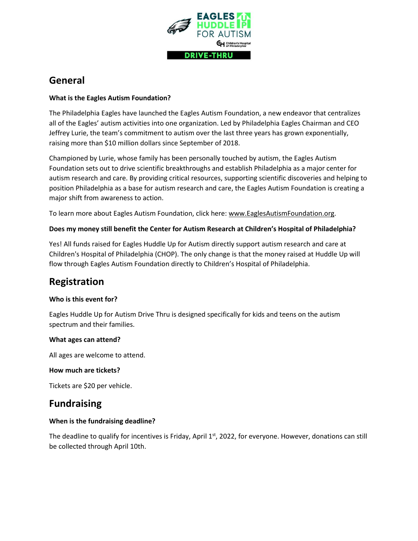

# **General**

## **What is the Eagles Autism Foundation?**

The Philadelphia Eagles have launched the Eagles Autism Foundation, a new endeavor that centralizes all of the Eagles' autism activities into one organization. Led by Philadelphia Eagles Chairman and CEO Jeffrey Lurie, the team's commitment to autism over the last three years has grown exponentially, raising more than \$10 million dollars since September of 2018.

Championed by Lurie, whose family has been personally touched by autism, the Eagles Autism Foundation sets out to drive scientific breakthroughs and establish Philadelphia as a major center for autism research and care. By providing critical resources, supporting scientific discoveries and helping to position Philadelphia as a base for autism research and care, the Eagles Autism Foundation is creating a major shift from awareness to action.

To learn more about Eagles Autism Foundation, click here: [www.EaglesAutismFoundation.org.](http://www.eaglesautismfoundation.org/)

## **Does my money still benefit the Center for Autism Research at Children's Hospital of Philadelphia?**

Yes! All funds raised for Eagles Huddle Up for Autism directly support autism research and care at Children's Hospital of Philadelphia (CHOP). The only change is that the money raised at Huddle Up will flow through Eagles Autism Foundation directly to Children's Hospital of Philadelphia.

# **Registration**

#### **Who is this event for?**

Eagles Huddle Up for Autism Drive Thru is designed specifically for kids and teens on the autism spectrum and their families.

#### **What ages can attend?**

All ages are welcome to attend.

#### **How much are tickets?**

Tickets are \$20 per vehicle.

# **Fundraising**

# **When is the fundraising deadline?**

The deadline to qualify for incentives is Friday, April 1<sup>st</sup>, 2022, for everyone. However, donations can still be collected through April 10th.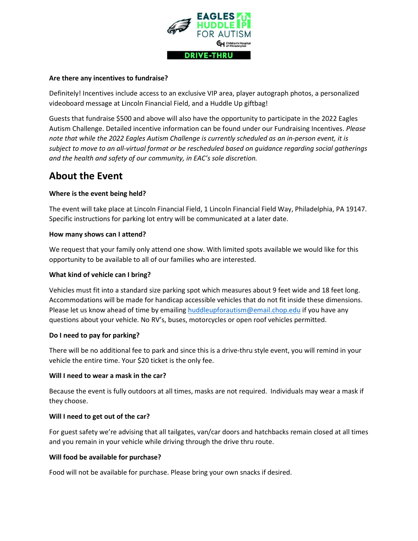

#### **Are there any incentives to fundraise?**

Definitely! Incentives include access to an exclusive VIP area, player autograph photos, a personalized videoboard message at Lincoln Financial Field, and a Huddle Up giftbag!

Guests that fundraise \$500 and above will also have the opportunity to participate in the 2022 Eagles Autism Challenge. Detailed incentive information can be found under our Fundraising Incentives. *Please note that while the 2022 Eagles Autism Challenge is currently scheduled as an in-person event, it is subject to move to an all-virtual format or be rescheduled based on guidance regarding social gatherings and the health and safety of our community, in EAC's sole discretion.*

# **About the Event**

## **Where is the event being held?**

The event will take place at Lincoln Financial Field, 1 Lincoln Financial Field Way, Philadelphia, PA 19147. Specific instructions for parking lot entry will be communicated at a later date.

#### **How many shows can I attend?**

We request that your family only attend one show. With limited spots available we would like for this opportunity to be available to all of our families who are interested.

#### **What kind of vehicle can I bring?**

Vehicles must fit into a standard size parking spot which measures about 9 feet wide and 18 feet long. Accommodations will be made for handicap accessible vehicles that do not fit inside these dimensions. Please let us know ahead of time by emailing [huddleupforautism@email.chop.edu](mailto:huddleupforautism@email.chop.edu) if you have any questions about your vehicle. No RV's, buses, motorcycles or open roof vehicles permitted.

#### **Do I need to pay for parking?**

There will be no additional fee to park and since this is a drive-thru style event, you will remind in your vehicle the entire time. Your \$20 ticket is the only fee.

#### **Will I need to wear a mask in the car?**

Because the event is fully outdoors at all times, masks are not required. Individuals may wear a mask if they choose.

#### **Will I need to get out of the car?**

For guest safety we're advising that all tailgates, van/car doors and hatchbacks remain closed at all times and you remain in your vehicle while driving through the drive thru route.

#### **Will food be available for purchase?**

Food will not be available for purchase. Please bring your own snacks if desired.